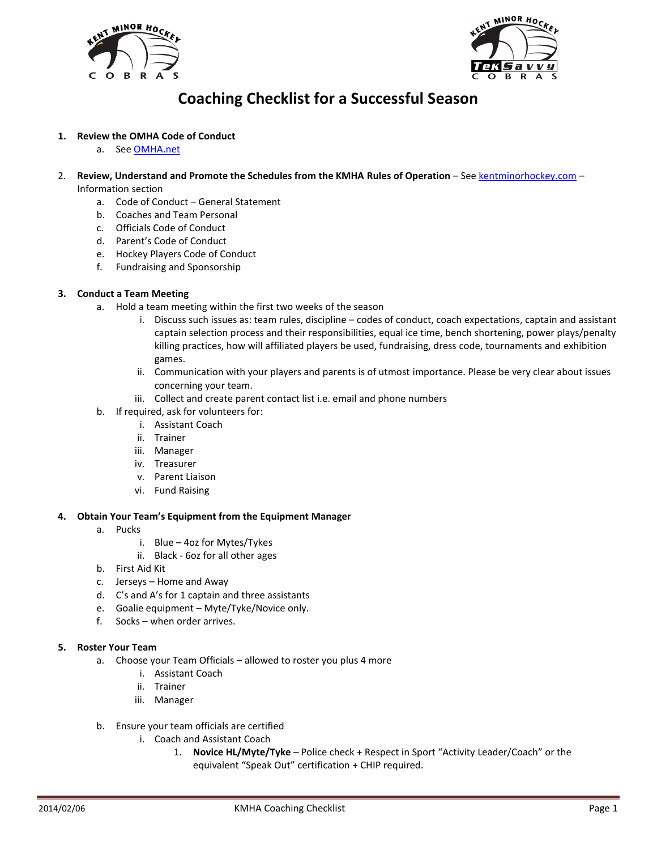



# **Coaching Checklist for a Successful Season**

# **1. Review the OMHA Code of Conduct**

- a. See [OMHA.net](http://www.omha.net/)
- 2. Review, Understand and Promote the Schedules from the KMHA Rules of Operation Se[e kentminorhockey.com](http://kentminorhockey.com/) -Information section
	- a. Code of Conduct General Statement
	- b. Coaches and Team Personal
	- c. Officials Code of Conduct
	- d. Parent's Code of Conduct
	- e. Hockey Players Code of Conduct
	- f. Fundraising and Sponsorship

# **3. Conduct a Team Meeting**

- a. Hold a team meeting within the first two weeks of the season
	- i. Discuss such issues as: team rules, discipline codes of conduct, coach expectations, captain and assistant captain selection process and their responsibilities, equal ice time, bench shortening, power plays/penalty killing practices, how will affiliated players be used, fundraising, dress code, tournaments and exhibition games.
	- ii. Communication with your players and parents is of utmost importance. Please be very clear about issues concerning your team.
	- iii. Collect and create parent contact list i.e. email and phone numbers
- b. If required, ask for volunteers for:
	- i. Assistant Coach
	- ii. Trainer
	- iii. Manager
	- iv. Treasurer
	- v. Parent Liaison
	- vi. Fund Raising

# **4. Obtain Your Team's Equipment from the Equipment Manager**

- a. Pucks
	- i. Blue 4oz for Mytes/Tykes
	- ii. Black 6oz for all other ages
- b. First Aid Kit
- c. Jerseys Home and Away
- d. C's and A's for 1 captain and three assistants
- e. Goalie equipment Myte/Tyke/Novice only.
- f. Socks when order arrives.

# **5. Roster Your Team**

- a. Choose your Team Officials allowed to roster you plus 4 more
	- i. Assistant Coach
	- ii. Trainer
	- iii. Manager
- b. Ensure your team officials are certified
	- i. Coach and Assistant Coach
		- 1. **Novice HL/Myte/Tyke** Police check + Respect in Sport "Activity Leader/Coach" or the equivalent "Speak Out" certification + CHIP required.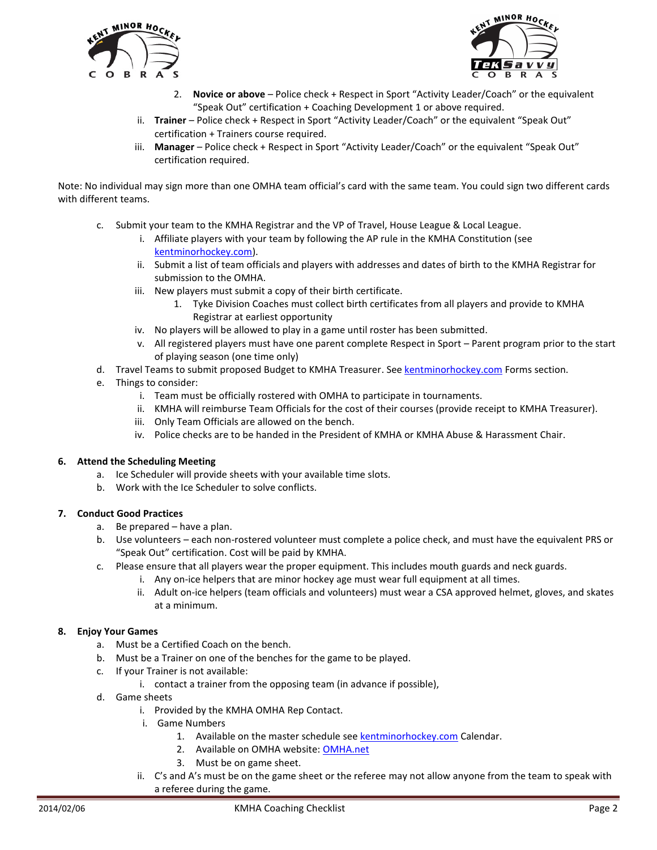



- 2. **Novice or above** Police check + Respect in Sport "Activity Leader/Coach" or the equivalent "Speak Out" certification + Coaching Development 1 or above required.
- ii. **Trainer** Police check + Respect in Sport "Activity Leader/Coach" or the equivalent "Speak Out" certification + Trainers course required.
- iii. **Manager** Police check + Respect in Sport "Activity Leader/Coach" or the equivalent "Speak Out" certification required.

Note: No individual may sign more than one OMHA team official's card with the same team. You could sign two different cards with different teams.

- c. Submit your team to the KMHA Registrar and the VP of Travel, House League & Local League.
	- i. Affiliate players with your team by following the AP rule in the KMHA Constitution (see [kentminorhockey.com\)](kentminorhockey.com).
	- ii. Submit a list of team officials and players with addresses and dates of birth to the KMHA Registrar for submission to the OMHA.
	- iii. New players must submit a copy of their birth certificate.
		- 1. Tyke Division Coaches must collect birth certificates from all players and provide to KMHA Registrar at earliest opportunity
	- iv. No players will be allowed to play in a game until roster has been submitted.
	- v. All registered players must have one parent complete Respect in Sport Parent program prior to the start of playing season (one time only)
- d. Travel Teams to submit proposed Budget to KMHA Treasurer. See [kentminorhockey.com F](file://s1111473/dfitzmor/Kent%20Minor%20Hockey/2003%20Kent%20Cobra/kentminorhockey.com)orms section.
- e. Things to consider:
	- i. Team must be officially rostered with OMHA to participate in tournaments.
	- ii. KMHA will reimburse Team Officials for the cost of their courses (provide receipt to KMHA Treasurer).
	- iii. Only Team Officials are allowed on the bench.
	- iv. Police checks are to be handed in the President of KMHA or KMHA Abuse & Harassment Chair.

# **6. Attend the Scheduling Meeting**

- a. Ice Scheduler will provide sheets with your available time slots.
- b. Work with the Ice Scheduler to solve conflicts.

# **7. Conduct Good Practices**

- a. Be prepared have a plan.
- b. Use volunteers each non-rostered volunteer must complete a police check, and must have the equivalent PRS or "Speak Out" certification. Cost will be paid by KMHA.
- c. Please ensure that all players wear the proper equipment. This includes mouth guards and neck guards.
	- i. Any on-ice helpers that are minor hockey age must wear full equipment at all times.
	- ii. Adult on-ice helpers (team officials and volunteers) must wear a CSA approved helmet, gloves, and skates at a minimum.

# **8. Enjoy Your Games**

- a. Must be a Certified Coach on the bench.
- b. Must be a Trainer on one of the benches for the game to be played.
- c. If your Trainer is not available:
	- i. contact a trainer from the opposing team (in advance if possible),
- d. Game sheets
	- i. Provided by the KMHA OMHA Rep Contact.
	- i. Game Numbers
		- 1. Available on the master schedule see [kentminorhockey.com](file://s1111473/dfitzmor/Kent%20Minor%20Hockey/2003%20Kent%20Cobra/kentminorhockey.com) Calendar.
		- 2. Available on OMHA website: [OMHA.net](http://www.omha.net/)
		- 3. Must be on game sheet.
	- ii. C's and A's must be on the game sheet or the referee may not allow anyone from the team to speak with a referee during the game.